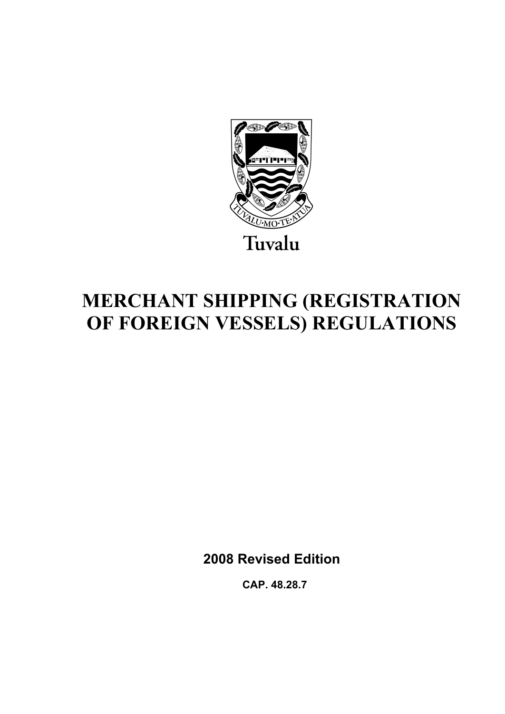

# **MERCHANT SHIPPING (REGISTRATION OF FOREIGN VESSELS) REGULATIONS**

**2008 Revised Edition** 

 **CAP. 48.28.7**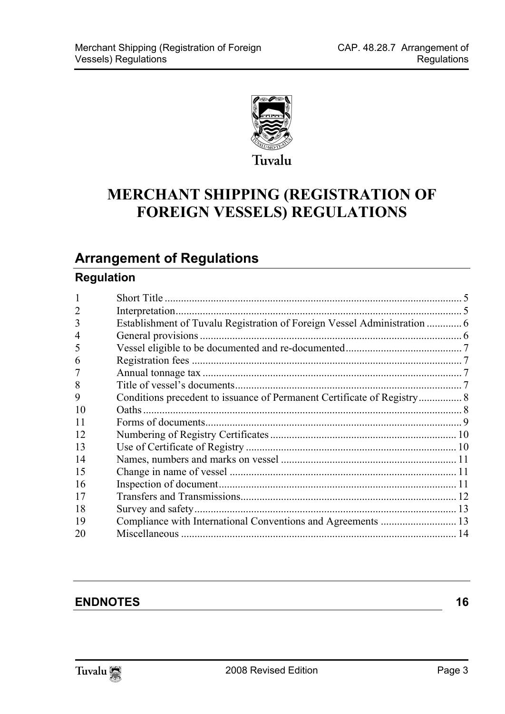

## **MERCHANT SHIPPING (REGISTRATION OF FOREIGN VESSELS) REGULATIONS**

## **Arrange[ment of Regulations](#page-5-0)**

## **Regulation**

| 3  |  |
|----|--|
| 4  |  |
| 5  |  |
| 6  |  |
| 7  |  |
| 8  |  |
| 9  |  |
| 10 |  |
| 11 |  |
| 12 |  |
| 13 |  |
| 14 |  |
| 15 |  |
| 16 |  |
| 17 |  |
| 18 |  |
| 19 |  |
| 20 |  |

### **ENDNOTES** 16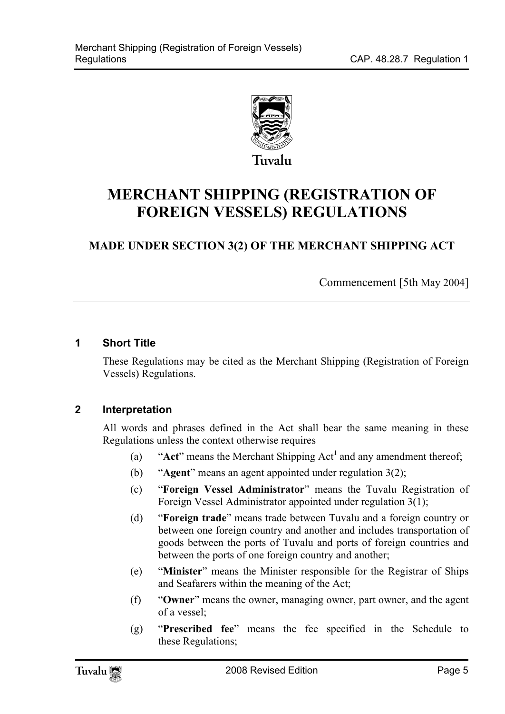

## **MERCHANT SHIPPING (REGISTRATION OF FOREIGN VESSELS) REGULATIONS**

### **MADE UNDER SECTION 3(2) OF THE MERCHANT SHIPPING ACT**

Commencement [5th May 2004]

#### **1 Short Title**

<span id="page-4-0"></span>These Regulations may be cited as the Merchant Shipping (Registration of Foreign Vessels) Regulations.

#### **2 Interpretation**

All words and phrases defined in the Act shall bear the same meaning in these Regulations unless the context otherwise requires —

- (a) "**Act**" means the Merchant Shipping Act**<sup>1</sup>** and any amendment thereof;
- (b) "**Agent**" means an agent appointed under regulation 3(2);
- (c) "**Foreign Vessel Administrator**" means the Tuvalu Registration of Foreign Vessel Administrator appointed under regulation 3(1);
- (d) "**Foreign trade**" means trade between Tuvalu and a foreign country or between one foreign country and another and includes transportation of goods between the ports of Tuvalu and ports of foreign countries and between the ports of one foreign country and another;
- (e) "**Minister**" means the Minister responsible for the Registrar of Ships and Seafarers within the meaning of the Act;
- (f) "**Owner**" means the owner, managing owner, part owner, and the agent of a vessel;
- (g) "**Prescribed fee**" means the fee specified in the Schedule to these Regulations;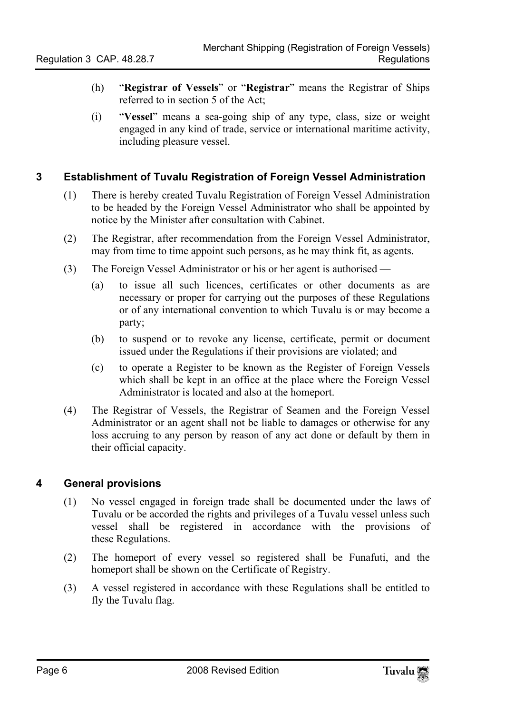- (h) "**Registrar of Vessels**" or "**Registrar**" means the Registrar of Ships referred to in section 5 of the Act;
- <span id="page-5-0"></span>(i) "**Vessel**" means a sea-going ship of any type, class, size or weight engaged in any kind of trade, service or international maritime activity, including pleasure vessel.

#### **3 Establishment of Tuvalu Registration of Foreign Vessel Administration**

- (1) There is hereby created Tuvalu Registration of Foreign Vessel Administration to be headed by the Foreign Vessel Administrator who shall be appointed by notice by the Minister after consultation with Cabinet.
- (2) The Registrar, after recommendation from the Foreign Vessel Administrator, may from time to time appoint such persons, as he may think fit, as agents.
- (3) The Foreign Vessel Administrator or his or her agent is authorised
	- (a) to issue all such licences, certificates or other documents as are necessary or proper for carrying out the purposes of these Regulations or of any international convention to which Tuvalu is or may become a party;
	- (b) to suspend or to revoke any license, certificate, permit or document issued under the Regulations if their provisions are violated; and
	- (c) to operate a Register to be known as the Register of Foreign Vessels which shall be kept in an office at the place where the Foreign Vessel Administrator is located and also at the homeport.
- <span id="page-5-1"></span>(4) The Registrar of Vessels, the Registrar of Seamen and the Foreign Vessel Administrator or an agent shall not be liable to damages or otherwise for any loss accruing to any person by reason of any act done or default by them in their official capacity.

#### **4 General provisions**

- (1) No vessel engaged in foreign trade shall be documented under the laws of Tuvalu or be accorded the rights and privileges of a Tuvalu vessel unless such vessel shall be registered in accordance with the provisions of these Regulations.
- (2) The homeport of every vessel so registered shall be Funafuti, and the homeport shall be shown on the Certificate of Registry.
- (3) A vessel registered in accordance with these Regulations shall be entitled to fly the Tuvalu flag.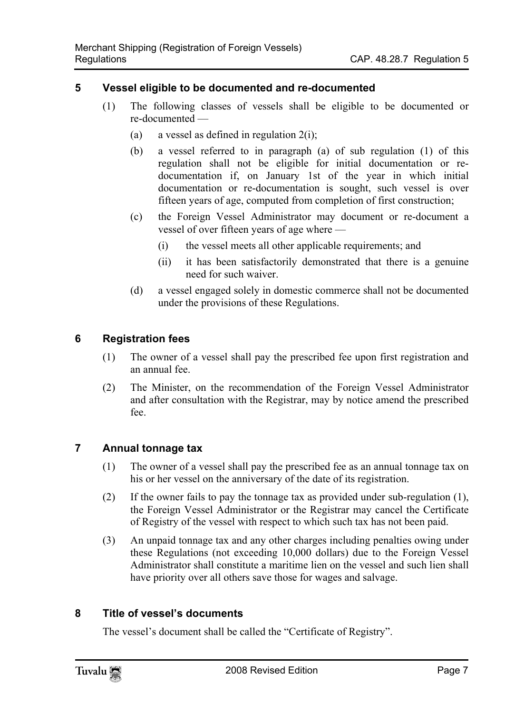#### **5 Vessel eligible to be documented and re-documented**

- <span id="page-6-0"></span>(1) The following classes of vessels shall be eligible to be documented or re-documented —
	- (a) a vessel as defined in regulation  $2(i)$ ;
	- (b) a vessel referred to in paragraph (a) of sub regulation (1) of this regulation shall not be eligible for initial documentation or redocumentation if, on January 1st of the year in which initial documentation or re-documentation is sought, such vessel is over fifteen years of age, computed from completion of first construction;
	- (c) the Foreign Vessel Administrator may document or re-document a vessel of over fifteen years of age where —
		- (i) the vessel meets all other applicable requirements; and
		- (ii) it has been satisfactorily demonstrated that there is a genuine need for such waiver.
	- (d) a vessel engaged solely in domestic commerce shall not be documented under the provisions of these Regulations.

#### **6 Registration fees**

- <span id="page-6-1"></span>(1) The owner of a vessel shall pay the prescribed fee upon first registration and an annual fee.
- <span id="page-6-2"></span>(2) The Minister, on the recommendation of the Foreign Vessel Administrator and after consultation with the Registrar, may by notice amend the prescribed fee.

#### **7 Annual tonnage tax**

- (1) The owner of a vessel shall pay the prescribed fee as an annual tonnage tax on his or her vessel on the anniversary of the date of its registration.
- (2) If the owner fails to pay the tonnage tax as provided under sub-regulation (1), the Foreign Vessel Administrator or the Registrar may cancel the Certificate of Registry of the vessel with respect to which such tax has not been paid.
- <span id="page-6-3"></span>(3) An unpaid tonnage tax and any other charges including penalties owing under these Regulations (not exceeding 10,000 dollars) due to the Foreign Vessel Administrator shall constitute a maritime lien on the vessel and such lien shall have priority over all others save those for wages and salvage.

#### **8 Title of vessel's documents**

The vessel's document shall be called the "Certificate of Registry".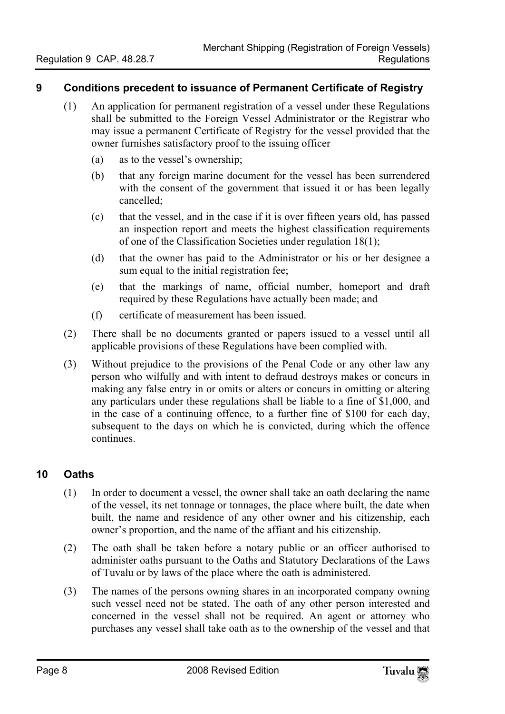#### **9 Conditions precedent to issuance of Permanent Certificate of Registry**

- <span id="page-7-0"></span>(1) An application for permanent registration of a vessel under these Regulations shall be submitted to the Foreign Vessel Administrator or the Registrar who may issue a permanent Certificate of Registry for the vessel provided that the owner furnishes satisfactory proof to the issuing officer —
	- (a) as to the vessel's ownership;
	- (b) that any foreign marine document for the vessel has been surrendered with the consent of the government that issued it or has been legally cancelled;
	- (c) that the vessel, and in the case if it is over fifteen years old, has passed an inspection report and meets the highest classification requirements of one of the Classification Societies under regulation 18(1);
	- (d) that the owner has paid to the Administrator or his or her designee a sum equal to the initial registration fee;
	- (e) that the markings of name, official number, homeport and draft required by these Regulations have actually been made; and
	- (f) certificate of measurement has been issued.
- (2) There shall be no documents granted or papers issued to a vessel until all applicable provisions of these Regulations have been complied with.
- <span id="page-7-1"></span>(3) Without prejudice to the provisions of the Penal Code or any other law any person who wilfully and with intent to defraud destroys makes or concurs in making any false entry in or omits or alters or concurs in omitting or altering any particulars under these regulations shall be liable to a fine of \$1,000, and in the case of a continuing offence, to a further fine of \$100 for each day, subsequent to the days on which he is convicted, during which the offence continues.

#### **10 Oaths**

- (1) In order to document a vessel, the owner shall take an oath declaring the name of the vessel, its net tonnage or tonnages, the place where built, the date when built, the name and residence of any other owner and his citizenship, each owner's proportion, and the name of the affiant and his citizenship.
- (2) The oath shall be taken before a notary public or an officer authorised to administer oaths pursuant to the Oaths and Statutory Declarations of the Laws of Tuvalu or by laws of the place where the oath is administered.
- (3) The names of the persons owning shares in an incorporated company owning such vessel need not be stated. The oath of any other person interested and concerned in the vessel shall not be required. An agent or attorney who purchases any vessel shall take oath as to the ownership of the vessel and that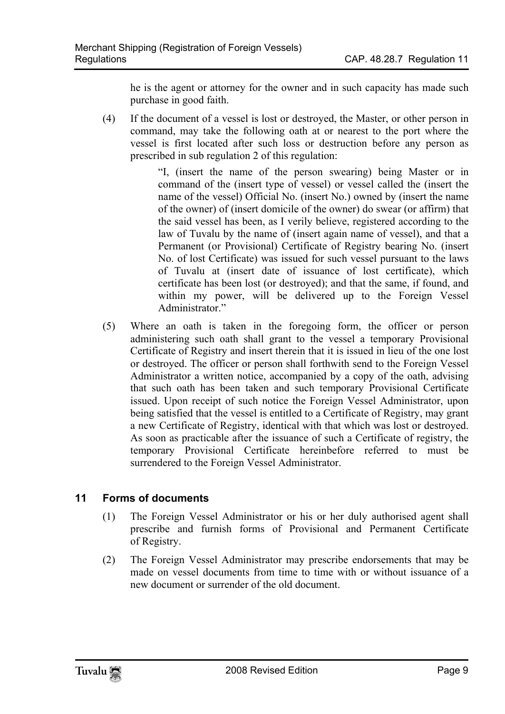he is the agent or attorney for the owner and in such capacity has made such purchase in good faith.

(4) If the document of a vessel is lost or destroyed, the Master, or other person in command, may take the following oath at or nearest to the port where the vessel is first located after such loss or destruction before any person as prescribed in sub regulation 2 of this regulation:

> "I, (insert the name of the person swearing) being Master or in command of the (insert type of vessel) or vessel called the (insert the name of the vessel) Official No. (insert No.) owned by (insert the name of the owner) of (insert domicile of the owner) do swear (or affirm) that the said vessel has been, as I verily believe, registered according to the law of Tuvalu by the name of (insert again name of vessel), and that a Permanent (or Provisional) Certificate of Registry bearing No. (insert No. of lost Certificate) was issued for such vessel pursuant to the laws of Tuvalu at (insert date of issuance of lost certificate), which certificate has been lost (or destroyed); and that the same, if found, and within my power, will be delivered up to the Foreign Vessel Administrator<sup>"</sup>

(5) Where an oath is taken in the foregoing form, the officer or person administering such oath shall grant to the vessel a temporary Provisional Certificate of Registry and insert therein that it is issued in lieu of the one lost or destroyed. The officer or person shall forthwith send to the Foreign Vessel Administrator a written notice, accompanied by a copy of the oath, advising that such oath has been taken and such temporary Provisional Certificate issued. Upon receipt of such notice the Foreign Vessel Administrator, upon being satisfied that the vessel is entitled to a Certificate of Registry, may grant a new Certificate of Registry, identical with that which was lost or destroyed. As soon as practicable after the issuance of such a Certificate of registry, the temporary Provisional Certificate hereinbefore referred to must be surrendered to the Foreign Vessel Administrator.

#### **11 Forms of documents**

- <span id="page-8-0"></span>(1) The Foreign Vessel Administrator or his or her duly authorised agent shall prescribe and furnish forms of Provisional and Permanent Certificate of Registry.
- (2) The Foreign Vessel Administrator may prescribe endorsements that may be made on vessel documents from time to time with or without issuance of a new document or surrender of the old document.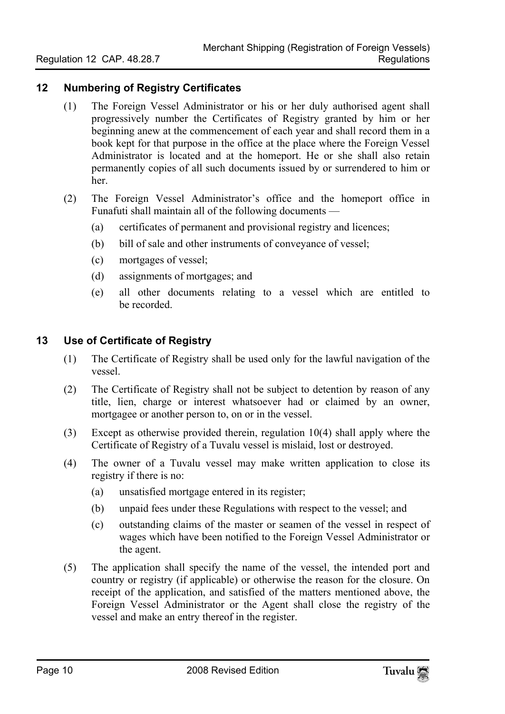#### **12 Numbering of Registry Certificates**

- <span id="page-9-0"></span>(1) The Foreign Vessel Administrator or his or her duly authorised agent shall progressively number the Certificates of Registry granted by him or her beginning anew at the commencement of each year and shall record them in a book kept for that purpose in the office at the place where the Foreign Vessel Administrator is located and at the homeport. He or she shall also retain permanently copies of all such documents issued by or surrendered to him or her.
- <span id="page-9-1"></span>(2) The Foreign Vessel Administrator's office and the homeport office in Funafuti shall maintain all of the following documents —
	- (a) certificates of permanent and provisional registry and licences;
	- (b) bill of sale and other instruments of conveyance of vessel;
	- (c) mortgages of vessel;
	- (d) assignments of mortgages; and
	- (e) all other documents relating to a vessel which are entitled to be recorded.

#### **13 Use of Certificate of Registry**

- (1) The Certificate of Registry shall be used only for the lawful navigation of the vessel.
- (2) The Certificate of Registry shall not be subject to detention by reason of any title, lien, charge or interest whatsoever had or claimed by an owner, mortgagee or another person to, on or in the vessel.
- (3) Except as otherwise provided therein, regulation 10(4) shall apply where the Certificate of Registry of a Tuvalu vessel is mislaid, lost or destroyed.
- (4) The owner of a Tuvalu vessel may make written application to close its registry if there is no:
	- (a) unsatisfied mortgage entered in its register;
	- (b) unpaid fees under these Regulations with respect to the vessel; and
	- (c) outstanding claims of the master or seamen of the vessel in respect of wages which have been notified to the Foreign Vessel Administrator or the agent.
- (5) The application shall specify the name of the vessel, the intended port and country or registry (if applicable) or otherwise the reason for the closure. On receipt of the application, and satisfied of the matters mentioned above, the Foreign Vessel Administrator or the Agent shall close the registry of the vessel and make an entry thereof in the register.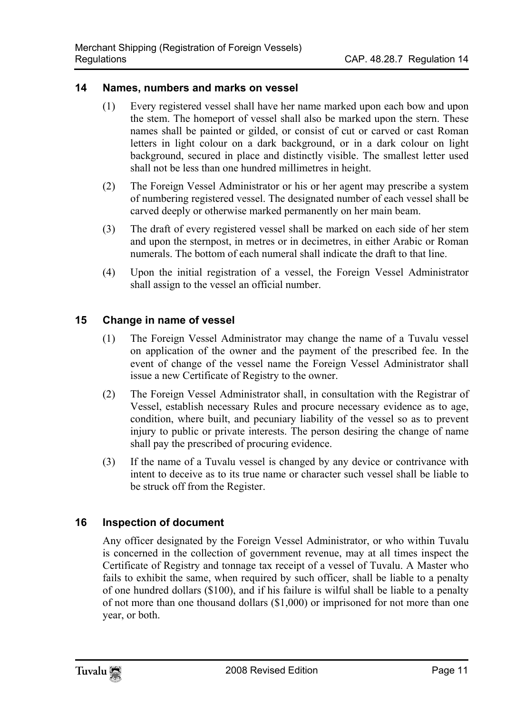#### **14 Names, numbers and marks on vessel**

- <span id="page-10-0"></span>(1) Every registered vessel shall have her name marked upon each bow and upon the stem. The homeport of vessel shall also be marked upon the stern. These names shall be painted or gilded, or consist of cut or carved or cast Roman letters in light colour on a dark background, or in a dark colour on light background, secured in place and distinctly visible. The smallest letter used shall not be less than one hundred millimetres in height.
- (2) The Foreign Vessel Administrator or his or her agent may prescribe a system of numbering registered vessel. The designated number of each vessel shall be carved deeply or otherwise marked permanently on her main beam.
- (3) The draft of every registered vessel shall be marked on each side of her stem and upon the sternpost, in metres or in decimetres, in either Arabic or Roman numerals. The bottom of each numeral shall indicate the draft to that line.
- <span id="page-10-1"></span>(4) Upon the initial registration of a vessel, the Foreign Vessel Administrator shall assign to the vessel an official number.

#### **15 Change in name of vessel**

- (1) The Foreign Vessel Administrator may change the name of a Tuvalu vessel on application of the owner and the payment of the prescribed fee. In the event of change of the vessel name the Foreign Vessel Administrator shall issue a new Certificate of Registry to the owner.
- (2) The Foreign Vessel Administrator shall, in consultation with the Registrar of Vessel, establish necessary Rules and procure necessary evidence as to age, condition, where built, and pecuniary liability of the vessel so as to prevent injury to public or private interests. The person desiring the change of name shall pay the prescribed of procuring evidence.
- <span id="page-10-2"></span>(3) If the name of a Tuvalu vessel is changed by any device or contrivance with intent to deceive as to its true name or character such vessel shall be liable to be struck off from the Register.

#### **16 Inspection of document**

Any officer designated by the Foreign Vessel Administrator, or who within Tuvalu is concerned in the collection of government revenue, may at all times inspect the Certificate of Registry and tonnage tax receipt of a vessel of Tuvalu. A Master who fails to exhibit the same, when required by such officer, shall be liable to a penalty of one hundred dollars (\$100), and if his failure is wilful shall be liable to a penalty of not more than one thousand dollars (\$1,000) or imprisoned for not more than one year, or both.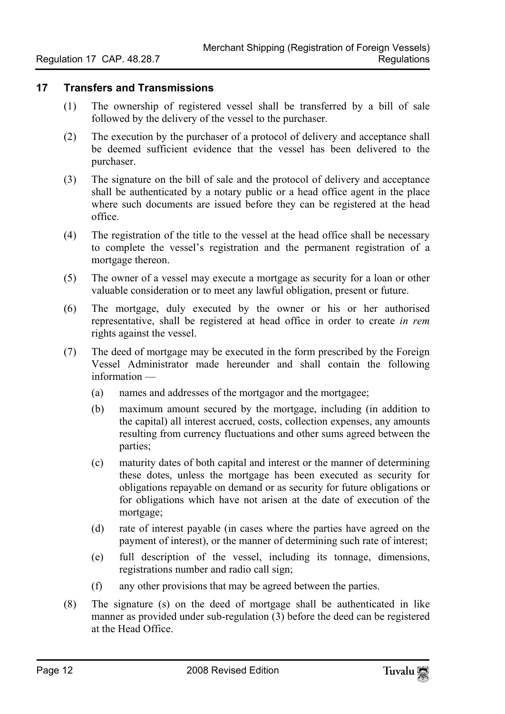#### **17 Transfers and Transmissions**

- <span id="page-11-0"></span>(1) The ownership of registered vessel shall be transferred by a bill of sale followed by the delivery of the vessel to the purchaser.
- (2) The execution by the purchaser of a protocol of delivery and acceptance shall be deemed sufficient evidence that the vessel has been delivered to the purchaser.
- (3) The signature on the bill of sale and the protocol of delivery and acceptance shall be authenticated by a notary public or a head office agent in the place where such documents are issued before they can be registered at the head office.
- (4) The registration of the title to the vessel at the head office shall be necessary to complete the vessel's registration and the permanent registration of a mortgage thereon.
- (5) The owner of a vessel may execute a mortgage as security for a loan or other valuable consideration or to meet any lawful obligation, present or future.
- (6) The mortgage, duly executed by the owner or his or her authorised representative, shall be registered at head office in order to create *in rem* rights against the vessel.
- (7) The deed of mortgage may be executed in the form prescribed by the Foreign Vessel Administrator made hereunder and shall contain the following information —
	- (a) names and addresses of the mortgagor and the mortgagee;
	- (b) maximum amount secured by the mortgage, including (in addition to the capital) all interest accrued, costs, collection expenses, any amounts resulting from currency fluctuations and other sums agreed between the parties;
	- (c) maturity dates of both capital and interest or the manner of determining these dotes, unless the mortgage has been executed as security for obligations repayable on demand or as security for future obligations or for obligations which have not arisen at the date of execution of the mortgage;
	- (d) rate of interest payable (in cases where the parties have agreed on the payment of interest), or the manner of determining such rate of interest;
	- (e) full description of the vessel, including its tonnage, dimensions, registrations number and radio call sign;
	- (f) any other provisions that may be agreed between the parties.
- (8) The signature (s) on the deed of mortgage shall be authenticated in like manner as provided under sub-regulation (3) before the deed can be registered at the Head Office.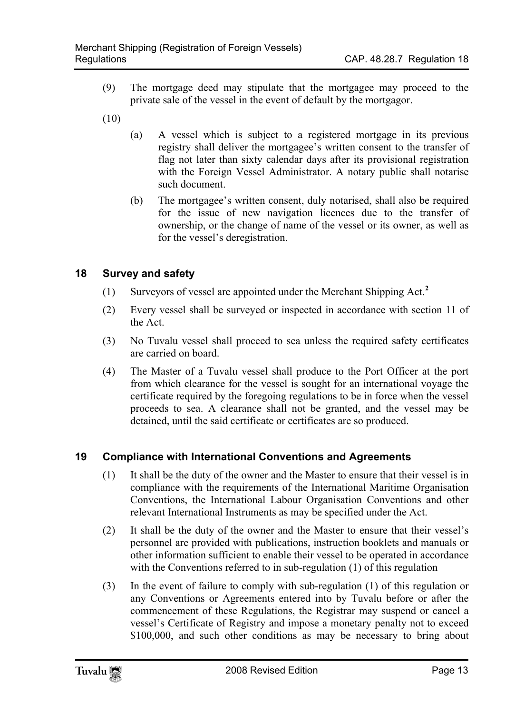- (9) The mortgage deed may stipulate that the mortgagee may proceed to the private sale of the vessel in the event of default by the mortgagor.
- (10)
- (a) A vessel which is subject to a registered mortgage in its previous registry shall deliver the mortgagee's written consent to the transfer of flag not later than sixty calendar days after its provisional registration with the Foreign Vessel Administrator. A notary public shall notarise such document.
- <span id="page-12-0"></span>(b) The mortgagee's written consent, duly notarised, shall also be required for the issue of new navigation licences due to the transfer of ownership, or the change of name of the vessel or its owner, as well as for the vessel's deregistration.

#### **18 Survey and safety**

- (1) Surveyors of vessel are appointed under the Merchant Shipping Act.**<sup>2</sup>**
- (2) Every vessel shall be surveyed or inspected in accordance with section 11 of the Act.
- (3) No Tuvalu vessel shall proceed to sea unless the required safety certificates are carried on board.
- <span id="page-12-1"></span>(4) The Master of a Tuvalu vessel shall produce to the Port Officer at the port from which clearance for the vessel is sought for an international voyage the certificate required by the foregoing regulations to be in force when the vessel proceeds to sea. A clearance shall not be granted, and the vessel may be detained, until the said certificate or certificates are so produced.

#### **19 Compliance with International Conventions and Agreements**

- (1) It shall be the duty of the owner and the Master to ensure that their vessel is in compliance with the requirements of the International Maritime Organisation Conventions, the International Labour Organisation Conventions and other relevant International Instruments as may be specified under the Act.
- (2) It shall be the duty of the owner and the Master to ensure that their vessel's personnel are provided with publications, instruction booklets and manuals or other information sufficient to enable their vessel to be operated in accordance with the Conventions referred to in sub-regulation (1) of this regulation
- (3) In the event of failure to comply with sub-regulation (1) of this regulation or any Conventions or Agreements entered into by Tuvalu before or after the commencement of these Regulations, the Registrar may suspend or cancel a vessel's Certificate of Registry and impose a monetary penalty not to exceed \$100,000, and such other conditions as may be necessary to bring about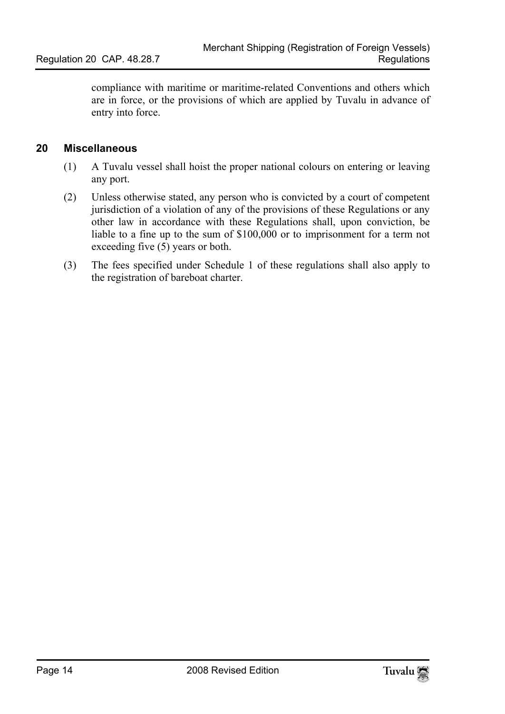<span id="page-13-0"></span>compliance with maritime or maritime-related Conventions and others which are in force, or the provisions of which are applied by Tuvalu in advance of entry into force.

#### **20 Miscellaneous**

- (1) A Tuvalu vessel shall hoist the proper national colours on entering or leaving any port.
- (2) Unless otherwise stated, any person who is convicted by a court of competent jurisdiction of a violation of any of the provisions of these Regulations or any other law in accordance with these Regulations shall, upon conviction, be liable to a fine up to the sum of \$100,000 or to imprisonment for a term not exceeding five (5) years or both.
- (3) The fees specified under Schedule 1 of these regulations shall also apply to the registration of bareboat charter.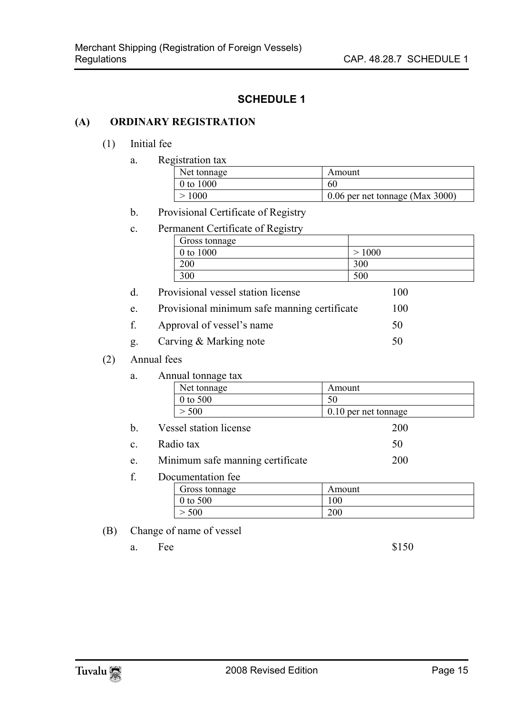#### **SCHEDULE 1**

#### **(A) ORDINARY REGISTRATION**

#### (1) Initial fee

a. Registration tax

| o---------- ---- |                                 |  |
|------------------|---------------------------------|--|
| Net tonnage      | Amount                          |  |
| 0 to 1000        | 60                              |  |
| >1000            | 0.06 per net tonnage (Max 3000) |  |

#### b. Provisional Certificate of Registry

| C. |  | Permanent Certificate of Registry |
|----|--|-----------------------------------|

| Gross tonnage |      |
|---------------|------|
| 0 to 1000     | 1000 |
| 200           | 300  |
| 300           | 500  |

| d. | Provisional vessel station license           | 100 |
|----|----------------------------------------------|-----|
| e. | Provisional minimum safe manning certificate | 100 |

- f. Approval of vessel's name 50
- g. Carving & Marking note 50

#### (2) Annual fees

a. Annual tonnage tax

| Net tonnage | Amount               |
|-------------|----------------------|
| 0 to 500    | 50                   |
| 500         | 0.10 per net tonnage |

- b. Vessel station license 200
- c. Radio tax  $50$
- e. Minimum safe manning certificate 200
- f. Documentation fee

| Gross tonnage | Amount |  |
|---------------|--------|--|
| $0$ to 500    | 100    |  |
| 500           | 200    |  |

#### (B) Change of name of vessel

a. Fee  $$150$